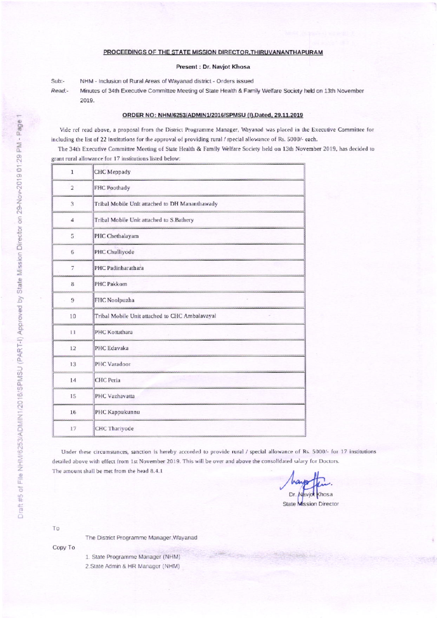## PROCEEDINGS OF THE STATE MISSION DIRECTOR, THIRUVANANTHAPURAM

## Present : Dr. Navjot Khosa

Sub:-NHM - Inclusion of Rural Areas of Wayanad district - Orders issued Read:-Minutes of 34th Executive Committee Meeting of State Health & Family Welfare Society held on 13th November 2019.

## ORDER NO: NHM/6253/ADMIN1/2016/SPMSU (I), Dated, 29.11.2019

Vide ref read above, a proposal from the District Programme Manager, Wayanad was placed in the Executive Committee for including the list of 22 institutions for the approval of providing rural / special allowance of Rs. 5000/- each.

The 34th Executive Committee Meeting of State Health & Family Welfare Society held on 13th November 2019, has decided to grant rural allowance for 17 institutions listed below:

| $\mathbf{1}$   | CHC Meppady                                    |
|----------------|------------------------------------------------|
| 2              | FHC Poothady                                   |
| 3              | Tribal Mobile Unit attached to DH Mananthawady |
| $\overline{4}$ | Tribal Mobile Unit attached to S. Bathery      |
| 5              | PHC Chethalayam                                |
| 6              | PHC Chulliyode                                 |
| $\overline{7}$ | PHC Padinharathara                             |
| 8              | PHC Pakkom                                     |
| $\overline{9}$ | FHC Noolpuzha                                  |
| 10             | Tribal Mobile Unit attached to CHC Ambalavayal |
| 11             | PHC Kottathara                                 |
| 12             | PHC Edavaka                                    |
| 13             | PHC Varadoor                                   |
| 14             | <b>CHC</b> Peria                               |
| 15             | PHC Vazhavatta                                 |
| 16             | PHC Kappukunnu                                 |
| 17             | <b>CHC Thariyode</b>                           |

Under these circumstances, sanction is hereby accorded to provide rural / special allowance of Rs. 5000/- for 17 institutions detailed above with effect from 1st November 2019. This will be over and above the consolidated salary for Doctors. The amount shall be met from the head 8.4.1

Dr. **Chosa State Mission Director** 

To

The District Programme Manager, Wayanad

Copy To

1. State Programme Manager (NHM)

2.State Admin & HR Manager (NHM)